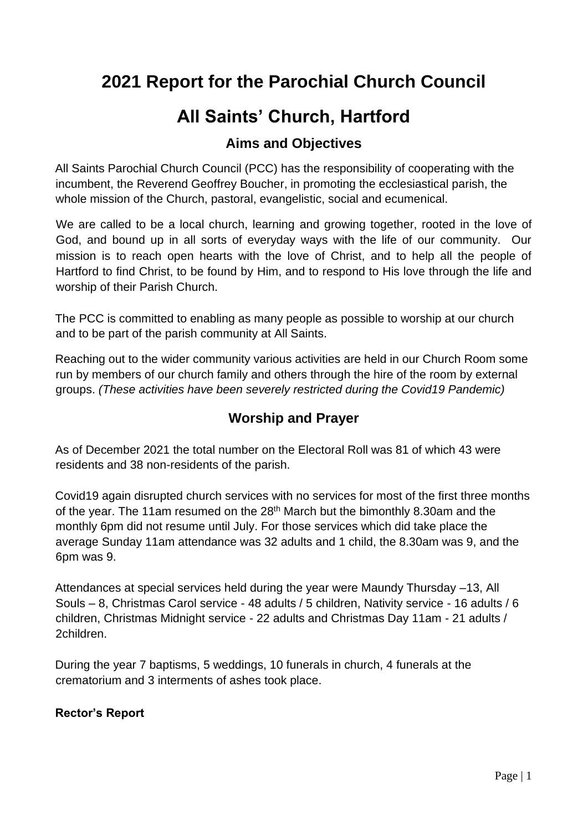# **2021 Report for the Parochial Church Council**

# **All Saints' Church, Hartford**

# **Aims and Objectives**

All Saints Parochial Church Council (PCC) has the responsibility of cooperating with the incumbent, the Reverend Geoffrey Boucher, in promoting the ecclesiastical parish, the whole mission of the Church, pastoral, evangelistic, social and ecumenical.

We are called to be a local church, learning and growing together, rooted in the love of God, and bound up in all sorts of everyday ways with the life of our community. Our mission is to reach open hearts with the love of Christ, and to help all the people of Hartford to find Christ, to be found by Him, and to respond to His love through the life and worship of their Parish Church.

The PCC is committed to enabling as many people as possible to worship at our church and to be part of the parish community at All Saints.

Reaching out to the wider community various activities are held in our Church Room some run by members of our church family and others through the hire of the room by external groups. *(These activities have been severely restricted during the Covid19 Pandemic)* 

# **Worship and Prayer**

As of December 2021 the total number on the Electoral Roll was 81 of which 43 were residents and 38 non-residents of the parish.

Covid19 again disrupted church services with no services for most of the first three months of the year. The 11am resumed on the 28<sup>th</sup> March but the bimonthly 8.30am and the monthly 6pm did not resume until July. For those services which did take place the average Sunday 11am attendance was 32 adults and 1 child, the 8.30am was 9, and the 6pm was 9.

Attendances at special services held during the year were Maundy Thursday –13, All Souls – 8, Christmas Carol service - 48 adults / 5 children, Nativity service - 16 adults / 6 children, Christmas Midnight service - 22 adults and Christmas Day 11am - 21 adults / 2children.

During the year 7 baptisms, 5 weddings, 10 funerals in church, 4 funerals at the crematorium and 3 interments of ashes took place.

#### **Rector's Report**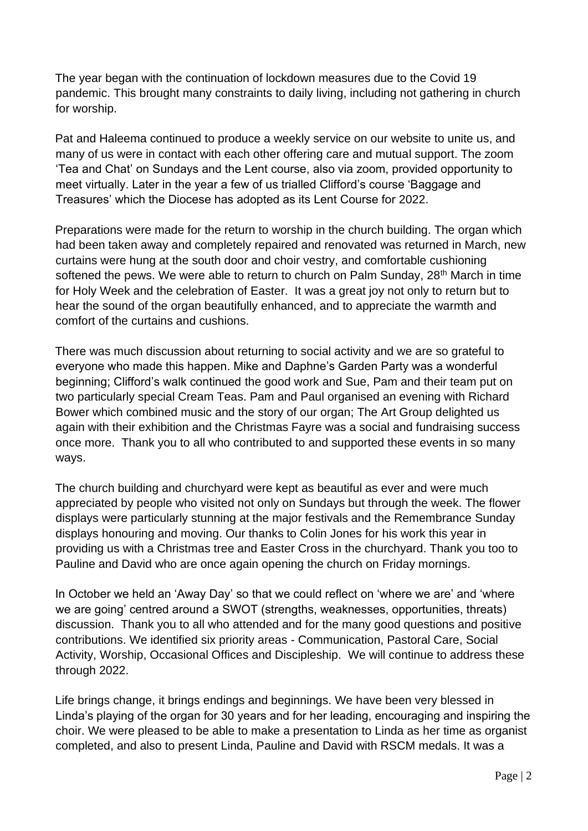The year began with the continuation of lockdown measures due to the Covid 19 pandemic. This brought many constraints to daily living, including not gathering in church for worship.

Pat and Haleema continued to produce a weekly service on our website to unite us, and many of us were in contact with each other offering care and mutual support. The zoom 'Tea and Chat' on Sundays and the Lent course, also via zoom, provided opportunity to meet virtually. Later in the year a few of us trialled Clifford's course 'Baggage and Treasures' which the Diocese has adopted as its Lent Course for 2022.

Preparations were made for the return to worship in the church building. The organ which had been taken away and completely repaired and renovated was returned in March, new curtains were hung at the south door and choir vestry, and comfortable cushioning softened the pews. We were able to return to church on Palm Sunday, 28<sup>th</sup> March in time for Holy Week and the celebration of Easter. It was a great joy not only to return but to hear the sound of the organ beautifully enhanced, and to appreciate the warmth and comfort of the curtains and cushions.

There was much discussion about returning to social activity and we are so grateful to everyone who made this happen. Mike and Daphne's Garden Party was a wonderful beginning; Clifford's walk continued the good work and Sue, Pam and their team put on two particularly special Cream Teas. Pam and Paul organised an evening with Richard Bower which combined music and the story of our organ; The Art Group delighted us again with their exhibition and the Christmas Fayre was a social and fundraising success once more. Thank you to all who contributed to and supported these events in so many ways.

The church building and churchyard were kept as beautiful as ever and were much appreciated by people who visited not only on Sundays but through the week. The flower displays were particularly stunning at the major festivals and the Remembrance Sunday displays honouring and moving. Our thanks to Colin Jones for his work this year in providing us with a Christmas tree and Easter Cross in the churchyard. Thank you too to Pauline and David who are once again opening the church on Friday mornings.

In October we held an 'Away Day' so that we could reflect on 'where we are' and 'where we are going' centred around a SWOT (strengths, weaknesses, opportunities, threats) discussion. Thank you to all who attended and for the many good questions and positive contributions. We identified six priority areas - Communication, Pastoral Care, Social Activity, Worship, Occasional Offices and Discipleship. We will continue to address these through 2022.

Life brings change, it brings endings and beginnings. We have been very blessed in Linda's playing of the organ for 30 years and for her leading, encouraging and inspiring the choir. We were pleased to be able to make a presentation to Linda as her time as organist completed, and also to present Linda, Pauline and David with RSCM medals. It was a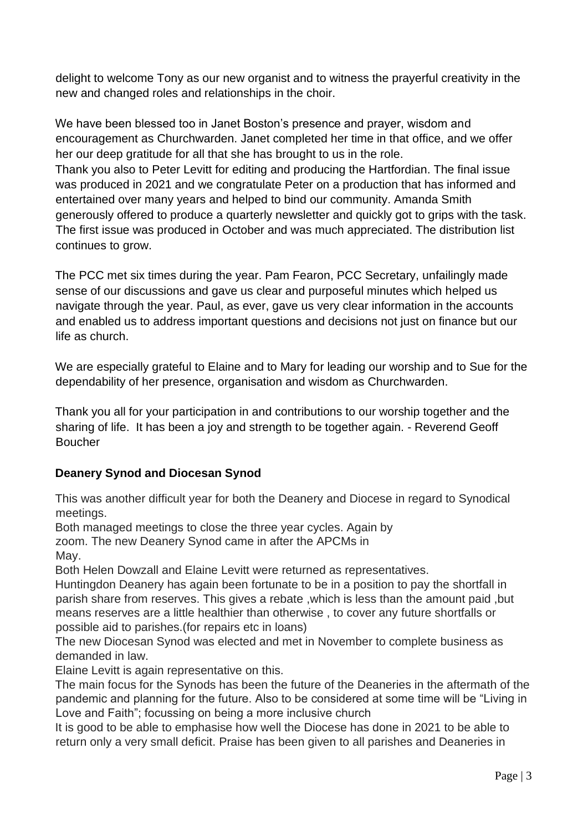delight to welcome Tony as our new organist and to witness the prayerful creativity in the new and changed roles and relationships in the choir.

We have been blessed too in Janet Boston's presence and prayer, wisdom and encouragement as Churchwarden. Janet completed her time in that office, and we offer her our deep gratitude for all that she has brought to us in the role. Thank you also to Peter Levitt for editing and producing the Hartfordian. The final issue was produced in 2021 and we congratulate Peter on a production that has informed and entertained over many years and helped to bind our community. Amanda Smith generously offered to produce a quarterly newsletter and quickly got to grips with the task. The first issue was produced in October and was much appreciated. The distribution list continues to grow.

The PCC met six times during the year. Pam Fearon, PCC Secretary, unfailingly made sense of our discussions and gave us clear and purposeful minutes which helped us navigate through the year. Paul, as ever, gave us very clear information in the accounts and enabled us to address important questions and decisions not just on finance but our life as church.

We are especially grateful to Elaine and to Mary for leading our worship and to Sue for the dependability of her presence, organisation and wisdom as Churchwarden.

Thank you all for your participation in and contributions to our worship together and the sharing of life. It has been a joy and strength to be together again. - Reverend Geoff Boucher

## **Deanery Synod and Diocesan Synod**

This was another difficult year for both the Deanery and Diocese in regard to Synodical meetings.

Both managed meetings to close the three year cycles. Again by

zoom. The new Deanery Synod came in after the APCMs in May.

Both Helen Dowzall and Elaine Levitt were returned as representatives.

Huntingdon Deanery has again been fortunate to be in a position to pay the shortfall in parish share from reserves. This gives a rebate ,which is less than the amount paid ,but means reserves are a little healthier than otherwise , to cover any future shortfalls or possible aid to parishes.(for repairs etc in loans)

The new Diocesan Synod was elected and met in November to complete business as demanded in law.

Elaine Levitt is again representative on this.

The main focus for the Synods has been the future of the Deaneries in the aftermath of the pandemic and planning for the future. Also to be considered at some time will be "Living in Love and Faith"; focussing on being a more inclusive church

It is good to be able to emphasise how well the Diocese has done in 2021 to be able to return only a very small deficit. Praise has been given to all parishes and Deaneries in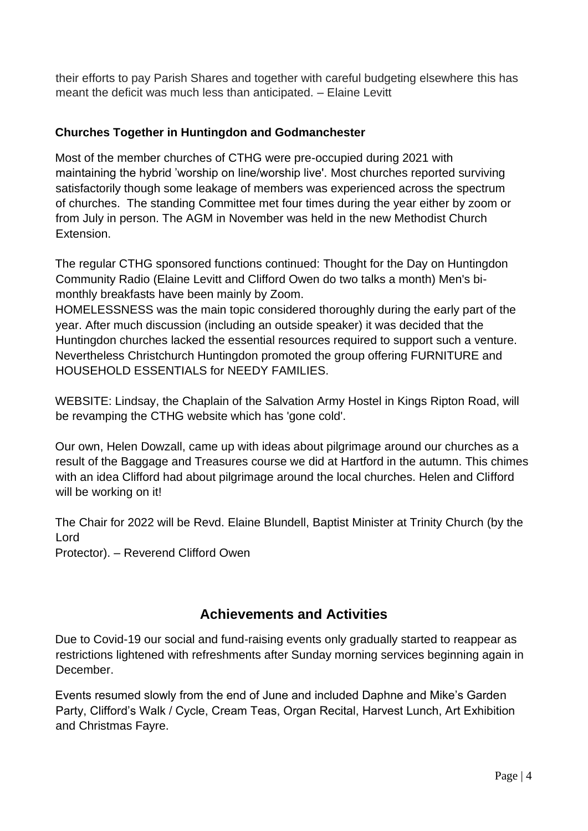their efforts to pay Parish Shares and together with careful budgeting elsewhere this has meant the deficit was much less than anticipated. – Elaine Levitt

#### **Churches Together in Huntingdon and Godmanchester**

Most of the member churches of CTHG were pre-occupied during 2021 with maintaining the hybrid 'worship on line/worship live'. Most churches reported surviving satisfactorily though some leakage of members was experienced across the spectrum of churches. The standing Committee met four times during the year either by zoom or from July in person. The AGM in November was held in the new Methodist Church Extension.

The regular CTHG sponsored functions continued: Thought for the Day on Huntingdon Community Radio (Elaine Levitt and Clifford Owen do two talks a month) Men's bimonthly breakfasts have been mainly by Zoom.

HOMELESSNESS was the main topic considered thoroughly during the early part of the year. After much discussion (including an outside speaker) it was decided that the Huntingdon churches lacked the essential resources required to support such a venture. Nevertheless Christchurch Huntingdon promoted the group offering FURNITURE and HOUSEHOLD ESSENTIALS for NEEDY FAMILIES.

WEBSITE: Lindsay, the Chaplain of the Salvation Army Hostel in Kings Ripton Road, will be revamping the CTHG website which has 'gone cold'.

Our own, Helen Dowzall, came up with ideas about pilgrimage around our churches as a result of the Baggage and Treasures course we did at Hartford in the autumn. This chimes with an idea Clifford had about pilgrimage around the local churches. Helen and Clifford will be working on it!

The Chair for 2022 will be Revd. Elaine Blundell, Baptist Minister at Trinity Church (by the Lord

Protector). – Reverend Clifford Owen

# **Achievements and Activities**

Due to Covid-19 our social and fund-raising events only gradually started to reappear as restrictions lightened with refreshments after Sunday morning services beginning again in December.

Events resumed slowly from the end of June and included Daphne and Mike's Garden Party, Clifford's Walk / Cycle, Cream Teas, Organ Recital, Harvest Lunch, Art Exhibition and Christmas Fayre.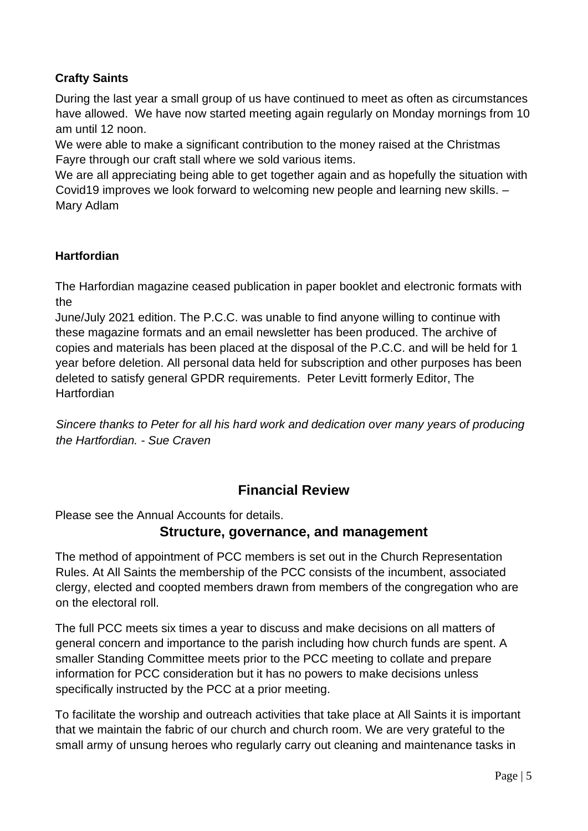# **Crafty Saints**

During the last year a small group of us have continued to meet as often as circumstances have allowed. We have now started meeting again regularly on Monday mornings from 10 am until 12 noon.

We were able to make a significant contribution to the money raised at the Christmas Fayre through our craft stall where we sold various items.

We are all appreciating being able to get together again and as hopefully the situation with Covid19 improves we look forward to welcoming new people and learning new skills. – Mary Adlam

#### **Hartfordian**

The Harfordian magazine ceased publication in paper booklet and electronic formats with the

June/July 2021 edition. The P.C.C. was unable to find anyone willing to continue with these magazine formats and an email newsletter has been produced. The archive of copies and materials has been placed at the disposal of the P.C.C. and will be held for 1 year before deletion. All personal data held for subscription and other purposes has been deleted to satisfy general GPDR requirements. Peter Levitt formerly Editor, The **Hartfordian** 

*Sincere thanks to Peter for all his hard work and dedication over many years of producing the Hartfordian. - Sue Craven* 

# **Financial Review**

Please see the Annual Accounts for details.

## **Structure, governance, and management**

The method of appointment of PCC members is set out in the Church Representation Rules. At All Saints the membership of the PCC consists of the incumbent, associated clergy, elected and coopted members drawn from members of the congregation who are on the electoral roll.

The full PCC meets six times a year to discuss and make decisions on all matters of general concern and importance to the parish including how church funds are spent. A smaller Standing Committee meets prior to the PCC meeting to collate and prepare information for PCC consideration but it has no powers to make decisions unless specifically instructed by the PCC at a prior meeting.

To facilitate the worship and outreach activities that take place at All Saints it is important that we maintain the fabric of our church and church room. We are very grateful to the small army of unsung heroes who regularly carry out cleaning and maintenance tasks in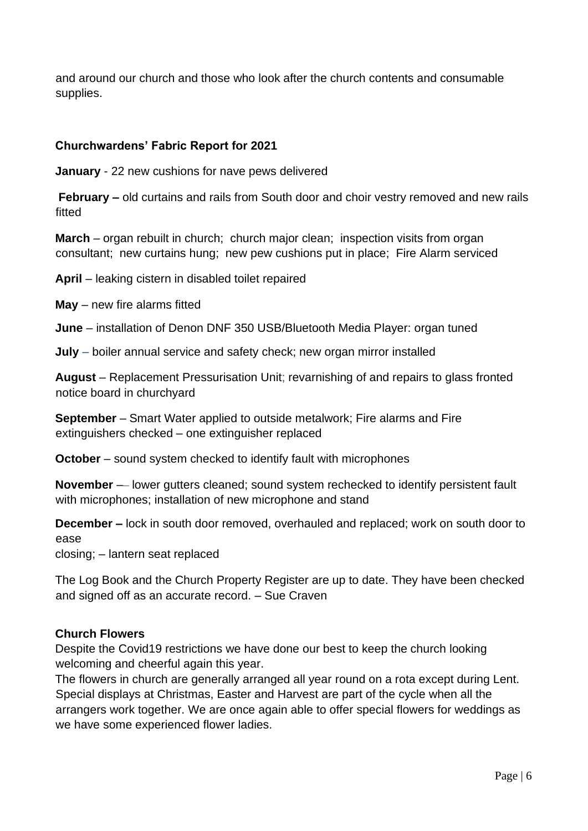and around our church and those who look after the church contents and consumable supplies.

#### **Churchwardens' Fabric Report for 2021**

**January** - 22 new cushions for nave pews delivered

**February –** old curtains and rails from South door and choir vestry removed and new rails fitted

**March** – organ rebuilt in church; church major clean; inspection visits from organ consultant; new curtains hung; new pew cushions put in place; Fire Alarm serviced

**April** – leaking cistern in disabled toilet repaired

**May** – new fire alarms fitted

**June** – installation of Denon DNF 350 USB/Bluetooth Media Player: organ tuned

**July** – boiler annual service and safety check; new organ mirror installed

**August** – Replacement Pressurisation Unit; revarnishing of and repairs to glass fronted notice board in churchyard

**September** – Smart Water applied to outside metalwork; Fire alarms and Fire extinguishers checked – one extinguisher replaced

**October** – sound system checked to identify fault with microphones

**November** –– lower gutters cleaned; sound system rechecked to identify persistent fault with microphones; installation of new microphone and stand

**December –** lock in south door removed, overhauled and replaced; work on south door to ease

closing; – lantern seat replaced

The Log Book and the Church Property Register are up to date. They have been checked and signed off as an accurate record. – Sue Craven

#### **Church Flowers**

Despite the Covid19 restrictions we have done our best to keep the church looking welcoming and cheerful again this year.

The flowers in church are generally arranged all year round on a rota except during Lent. Special displays at Christmas, Easter and Harvest are part of the cycle when all the arrangers work together. We are once again able to offer special flowers for weddings as we have some experienced flower ladies.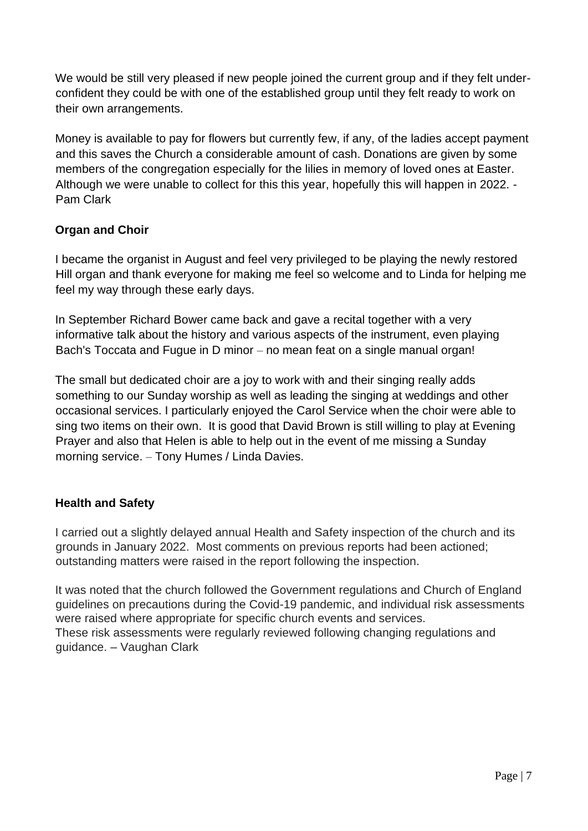We would be still very pleased if new people joined the current group and if they felt underconfident they could be with one of the established group until they felt ready to work on their own arrangements.

Money is available to pay for flowers but currently few, if any, of the ladies accept payment and this saves the Church a considerable amount of cash. Donations are given by some members of the congregation especially for the lilies in memory of loved ones at Easter. Although we were unable to collect for this this year, hopefully this will happen in 2022. - Pam Clark

#### **Organ and Choir**

I became the organist in August and feel very privileged to be playing the newly restored Hill organ and thank everyone for making me feel so welcome and to Linda for helping me feel my way through these early days.

In September Richard Bower came back and gave a recital together with a very informative talk about the history and various aspects of the instrument, even playing Bach's Toccata and Fugue in D minor – no mean feat on a single manual organ!

The small but dedicated choir are a joy to work with and their singing really adds something to our Sunday worship as well as leading the singing at weddings and other occasional services. I particularly enjoyed the Carol Service when the choir were able to sing two items on their own. It is good that David Brown is still willing to play at Evening Prayer and also that Helen is able to help out in the event of me missing a Sunday morning service. – Tony Humes / Linda Davies.

#### **Health and Safety**

I carried out a slightly delayed annual Health and Safety inspection of the church and its grounds in January 2022. Most comments on previous reports had been actioned; outstanding matters were raised in the report following the inspection.

It was noted that the church followed the Government regulations and Church of England guidelines on precautions during the Covid-19 pandemic, and individual risk assessments were raised where appropriate for specific church events and services. These risk assessments were regularly reviewed following changing regulations and guidance. – Vaughan Clark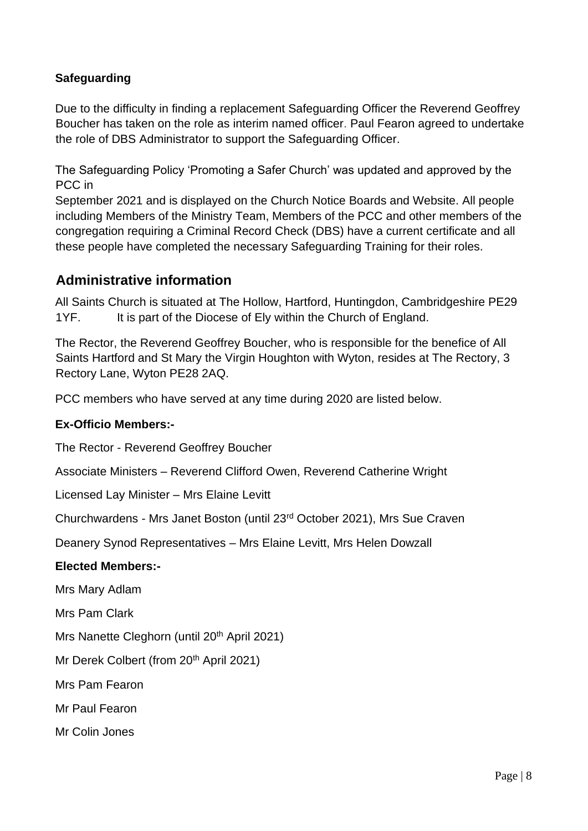#### **Safeguarding**

Due to the difficulty in finding a replacement Safeguarding Officer the Reverend Geoffrey Boucher has taken on the role as interim named officer. Paul Fearon agreed to undertake the role of DBS Administrator to support the Safeguarding Officer.

The Safeguarding Policy 'Promoting a Safer Church' was updated and approved by the PCC in

September 2021 and is displayed on the Church Notice Boards and Website. All people including Members of the Ministry Team, Members of the PCC and other members of the congregation requiring a Criminal Record Check (DBS) have a current certificate and all these people have completed the necessary Safeguarding Training for their roles.

## **Administrative information**

All Saints Church is situated at The Hollow, Hartford, Huntingdon, Cambridgeshire PE29 1YF. It is part of the Diocese of Ely within the Church of England.

The Rector, the Reverend Geoffrey Boucher, who is responsible for the benefice of All Saints Hartford and St Mary the Virgin Houghton with Wyton, resides at The Rectory, 3 Rectory Lane, Wyton PE28 2AQ.

PCC members who have served at any time during 2020 are listed below.

#### **Ex-Officio Members:-**

The Rector - Reverend Geoffrey Boucher

Associate Ministers – Reverend Clifford Owen, Reverend Catherine Wright

Licensed Lay Minister – Mrs Elaine Levitt

Churchwardens - Mrs Janet Boston (until 23rd October 2021), Mrs Sue Craven

Deanery Synod Representatives – Mrs Elaine Levitt, Mrs Helen Dowzall

#### **Elected Members:-**

Mrs Mary Adlam

Mrs Pam Clark

Mrs Nanette Cleghorn (until 20<sup>th</sup> April 2021)

Mr Derek Colbert (from 20<sup>th</sup> April 2021)

Mrs Pam Fearon

Mr Paul Fearon

Mr Colin Jones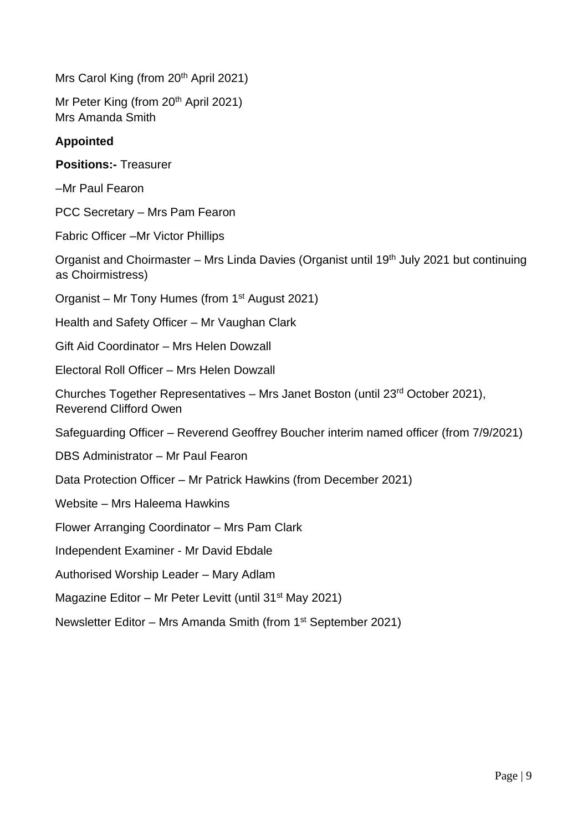Mrs Carol King (from 20<sup>th</sup> April 2021)

Mr Peter King (from 20<sup>th</sup> April 2021) Mrs Amanda Smith

#### **Appointed**

**Positions:-** Treasurer

–Mr Paul Fearon

PCC Secretary – Mrs Pam Fearon

Fabric Officer –Mr Victor Phillips

Organist and Choirmaster – Mrs Linda Davies (Organist until 19<sup>th</sup> July 2021 but continuing as Choirmistress)

Organist – Mr Tony Humes (from 1<sup>st</sup> August 2021)

Health and Safety Officer – Mr Vaughan Clark

Gift Aid Coordinator – Mrs Helen Dowzall

Electoral Roll Officer – Mrs Helen Dowzall

Churches Together Representatives – Mrs Janet Boston (until 23rd October 2021), Reverend Clifford Owen

Safeguarding Officer – Reverend Geoffrey Boucher interim named officer (from 7/9/2021)

DBS Administrator – Mr Paul Fearon

Data Protection Officer – Mr Patrick Hawkins (from December 2021)

Website – Mrs Haleema Hawkins

Flower Arranging Coordinator – Mrs Pam Clark

Independent Examiner - Mr David Ebdale

Authorised Worship Leader – Mary Adlam

Magazine Editor – Mr Peter Levitt (until 31<sup>st</sup> May 2021)

Newsletter Editor – Mrs Amanda Smith (from 1st September 2021)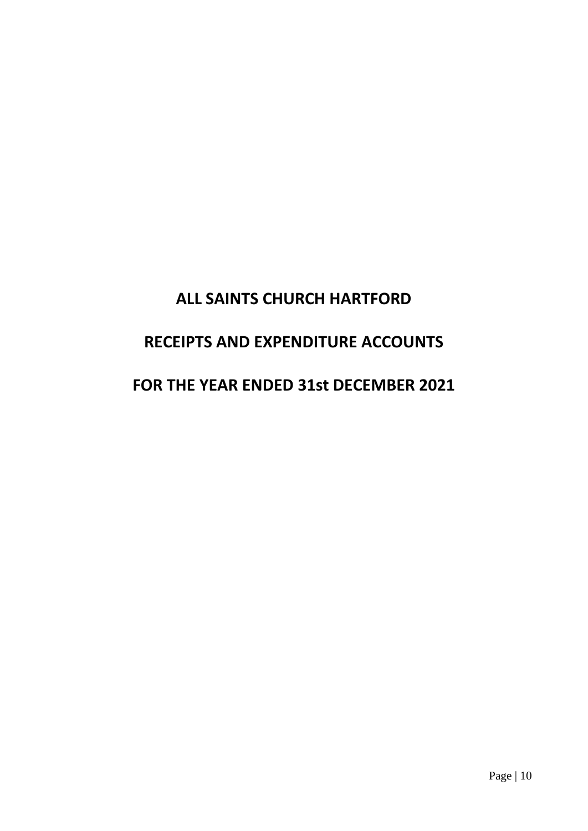# **ALL SAINTS CHURCH HARTFORD RECEIPTS AND EXPENDITURE ACCOUNTS FOR THE YEAR ENDED 31st DECEMBER 2021**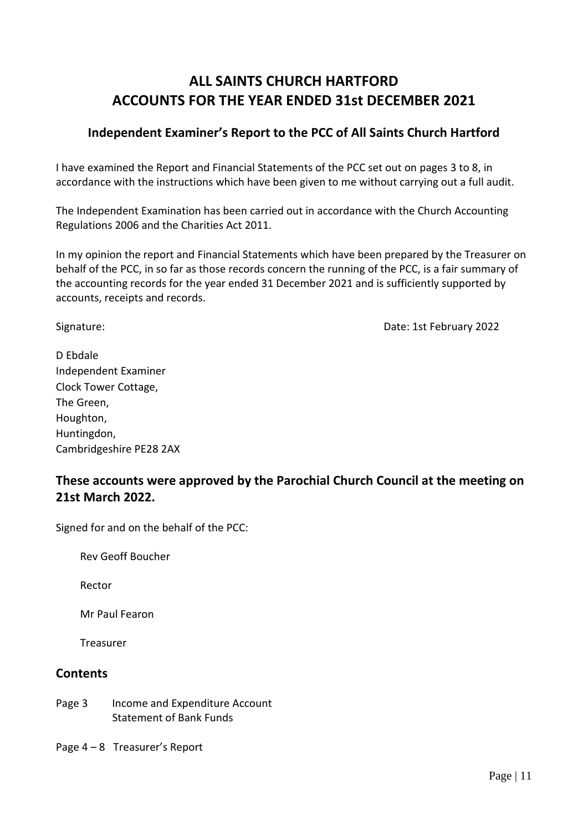# **ALL SAINTS CHURCH HARTFORD ACCOUNTS FOR THE YEAR ENDED 31st DECEMBER 2021**

#### **Independent Examiner's Report to the PCC of All Saints Church Hartford**

I have examined the Report and Financial Statements of the PCC set out on pages 3 to 8, in accordance with the instructions which have been given to me without carrying out a full audit.

The Independent Examination has been carried out in accordance with the Church Accounting Regulations 2006 and the Charities Act 2011.

In my opinion the report and Financial Statements which have been prepared by the Treasurer on behalf of the PCC, in so far as those records concern the running of the PCC, is a fair summary of the accounting records for the year ended 31 December 2021 and is sufficiently supported by accounts, receipts and records.

Signature: Date: 1st February 2022

D Ebdale Independent Examiner Clock Tower Cottage, The Green, Houghton, Huntingdon, Cambridgeshire PE28 2AX

# **These accounts were approved by the Parochial Church Council at the meeting on 21st March 2022.**

Signed for and on the behalf of the PCC:

Rev Geoff Boucher

Rector

Mr Paul Fearon

Treasurer

#### **Contents**

- Page 3 Income and Expenditure Account Statement of Bank Funds
- Page 4 8 Treasurer's Report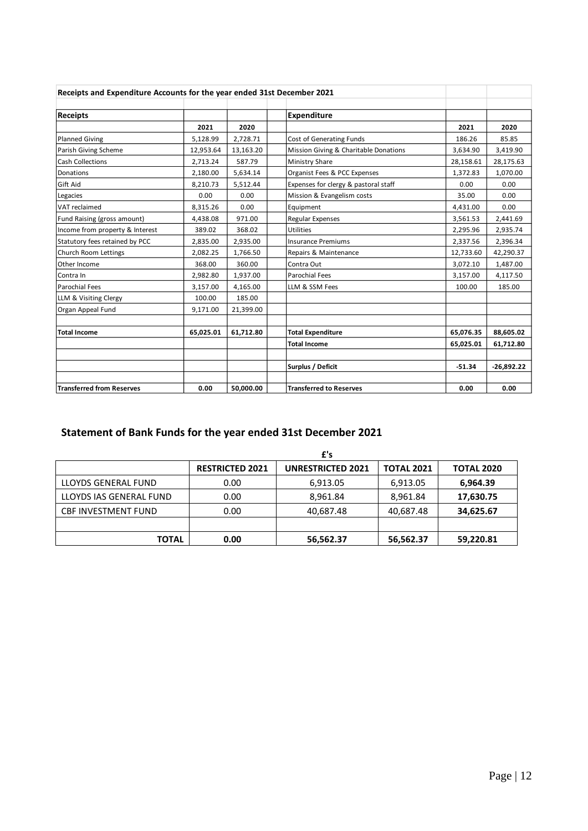| Receipts and Expenditure Accounts for the year ended 31st December 2021 |           |           |                                       |           |              |
|-------------------------------------------------------------------------|-----------|-----------|---------------------------------------|-----------|--------------|
|                                                                         |           |           |                                       |           |              |
| <b>Receipts</b>                                                         |           |           | <b>Expenditure</b>                    |           |              |
|                                                                         | 2021      | 2020      |                                       | 2021      | 2020         |
| <b>Planned Giving</b>                                                   | 5,128.99  | 2,728.71  | <b>Cost of Generating Funds</b>       | 186.26    | 85.85        |
| Parish Giving Scheme                                                    | 12,953.64 | 13,163.20 | Mission Giving & Charitable Donations | 3,634.90  | 3,419.90     |
| <b>Cash Collections</b>                                                 | 2,713.24  | 587.79    | <b>Ministry Share</b>                 | 28,158.61 | 28,175.63    |
| Donations                                                               | 2,180.00  | 5,634.14  | Organist Fees & PCC Expenses          | 1,372.83  | 1,070.00     |
| Gift Aid                                                                | 8,210.73  | 5,512.44  | Expenses for clergy & pastoral staff  | 0.00      | 0.00         |
| Legacies                                                                | 0.00      | 0.00      | Mission & Evangelism costs            | 35.00     | 0.00         |
| VAT reclaimed                                                           | 8,315.26  | 0.00      | Equipment                             | 4,431.00  | 0.00         |
| Fund Raising (gross amount)                                             | 4,438.08  | 971.00    | Regular Expenses                      | 3,561.53  | 2,441.69     |
| Income from property & Interest                                         | 389.02    | 368.02    | <b>Utilities</b>                      | 2,295.96  | 2,935.74     |
| Statutory fees retained by PCC                                          | 2,835.00  | 2,935.00  | <b>Insurance Premiums</b>             | 2,337.56  | 2,396.34     |
| Church Room Lettings                                                    | 2,082.25  | 1,766.50  | Repairs & Maintenance                 | 12,733.60 | 42,290.37    |
| Other Income                                                            | 368.00    | 360.00    | Contra Out                            | 3,072.10  | 1,487.00     |
| Contra In                                                               | 2,982.80  | 1,937.00  | <b>Parochial Fees</b>                 | 3,157.00  | 4,117.50     |
| Parochial Fees                                                          | 3,157.00  | 4,165.00  | LLM & SSM Fees                        | 100.00    | 185.00       |
| LLM & Visiting Clergy                                                   | 100.00    | 185.00    |                                       |           |              |
| Organ Appeal Fund                                                       | 9,171.00  | 21,399.00 |                                       |           |              |
|                                                                         |           |           |                                       |           |              |
| <b>Total Income</b>                                                     | 65,025.01 | 61,712.80 | <b>Total Expenditure</b>              | 65,076.35 | 88,605.02    |
|                                                                         |           |           | <b>Total Income</b>                   | 65,025.01 | 61,712.80    |
|                                                                         |           |           |                                       |           |              |
|                                                                         |           |           | Surplus / Deficit                     | $-51.34$  | $-26,892.22$ |
|                                                                         |           |           |                                       |           |              |
| <b>Transferred from Reserves</b>                                        | 0.00      | 50,000.00 | <b>Transferred to Reserves</b>        | 0.00      | 0.00         |

# **Statement of Bank Funds for the year ended 31st December 2021**

|                            |                        | £'s                      |                   |                   |
|----------------------------|------------------------|--------------------------|-------------------|-------------------|
|                            | <b>RESTRICTED 2021</b> | <b>UNRESTRICTED 2021</b> | <b>TOTAL 2021</b> | <b>TOTAL 2020</b> |
| LLOYDS GENERAL FUND        | 0.00                   | 6,913.05                 | 6,913.05          | 6,964.39          |
| LLOYDS IAS GENERAL FUND    | 0.00                   | 8,961.84                 | 8,961.84          | 17,630.75         |
| <b>CBF INVESTMENT FUND</b> | 0.00                   | 40,687.48                | 40,687.48         | 34,625.67         |
|                            |                        |                          |                   |                   |
| <b>TOTAL</b>               | 0.00                   | 56,562.37                | 56,562.37         | 59,220.81         |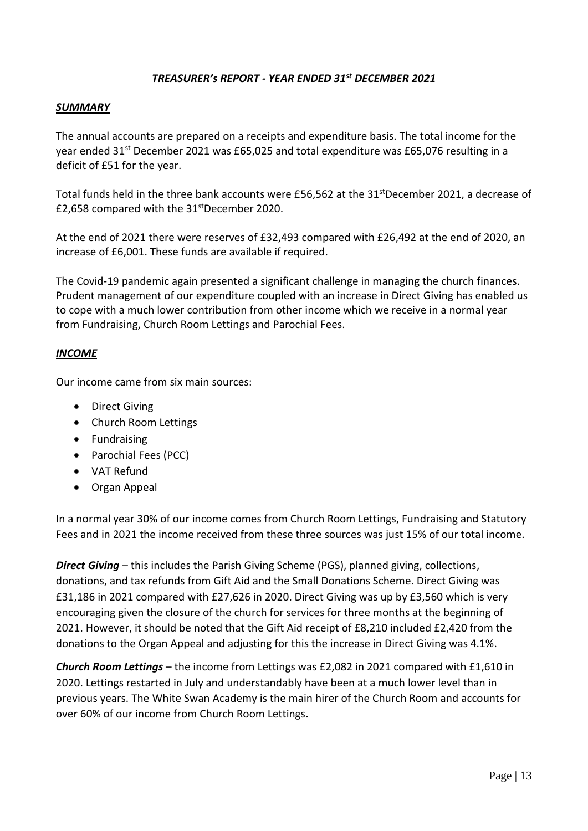#### *TREASURER's REPORT - YEAR ENDED 31st DECEMBER 2021*

#### *SUMMARY*

The annual accounts are prepared on a receipts and expenditure basis. The total income for the year ended  $31<sup>st</sup>$  December 2021 was £65,025 and total expenditure was £65,076 resulting in a deficit of £51 for the year.

Total funds held in the three bank accounts were £56,562 at the 31<sup>st</sup>December 2021, a decrease of £2,658 compared with the 31stDecember 2020.

At the end of 2021 there were reserves of £32,493 compared with £26,492 at the end of 2020, an increase of £6,001. These funds are available if required.

The Covid-19 pandemic again presented a significant challenge in managing the church finances. Prudent management of our expenditure coupled with an increase in Direct Giving has enabled us to cope with a much lower contribution from other income which we receive in a normal year from Fundraising, Church Room Lettings and Parochial Fees.

#### *INCOME*

Our income came from six main sources:

- Direct Giving
- Church Room Lettings
- Fundraising
- Parochial Fees (PCC)
- VAT Refund
- Organ Appeal

In a normal year 30% of our income comes from Church Room Lettings, Fundraising and Statutory Fees and in 2021 the income received from these three sources was just 15% of our total income.

*Direct Giving* – this includes the Parish Giving Scheme (PGS), planned giving, collections, donations, and tax refunds from Gift Aid and the Small Donations Scheme. Direct Giving was £31,186 in 2021 compared with £27,626 in 2020. Direct Giving was up by £3,560 which is very encouraging given the closure of the church for services for three months at the beginning of 2021. However, it should be noted that the Gift Aid receipt of £8,210 included £2,420 from the donations to the Organ Appeal and adjusting for this the increase in Direct Giving was 4.1%.

*Church Room Lettings* – the income from Lettings was £2,082 in 2021 compared with £1,610 in 2020. Lettings restarted in July and understandably have been at a much lower level than in previous years. The White Swan Academy is the main hirer of the Church Room and accounts for over 60% of our income from Church Room Lettings.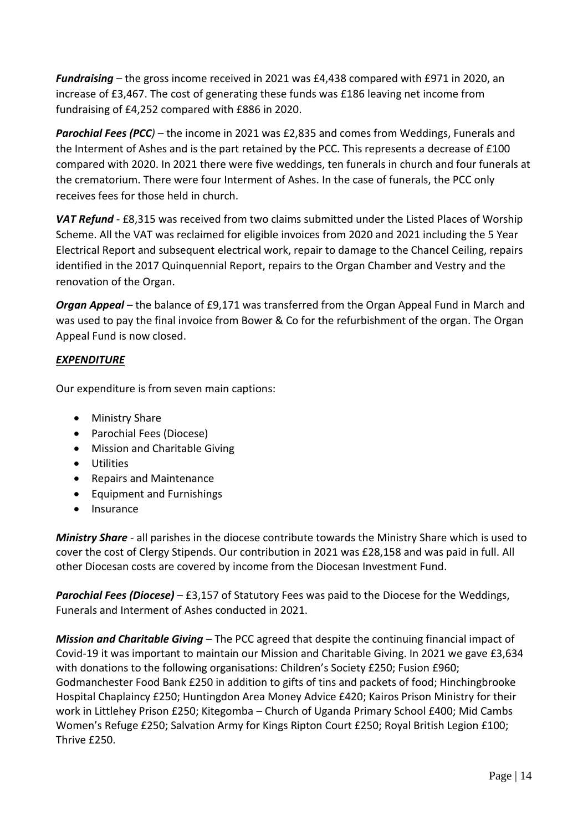*Fundraising* – the gross income received in 2021 was £4,438 compared with £971 in 2020, an increase of £3,467. The cost of generating these funds was £186 leaving net income from fundraising of £4,252 compared with £886 in 2020.

*Parochial Fees (PCC)* – the income in 2021 was £2,835 and comes from Weddings, Funerals and the Interment of Ashes and is the part retained by the PCC. This represents a decrease of £100 compared with 2020. In 2021 there were five weddings, ten funerals in church and four funerals at the crematorium. There were four Interment of Ashes. In the case of funerals, the PCC only receives fees for those held in church.

*VAT Refund* - £8,315 was received from two claims submitted under the Listed Places of Worship Scheme. All the VAT was reclaimed for eligible invoices from 2020 and 2021 including the 5 Year Electrical Report and subsequent electrical work, repair to damage to the Chancel Ceiling, repairs identified in the 2017 Quinquennial Report, repairs to the Organ Chamber and Vestry and the renovation of the Organ.

*Organ Appeal* – the balance of £9,171 was transferred from the Organ Appeal Fund in March and was used to pay the final invoice from Bower & Co for the refurbishment of the organ. The Organ Appeal Fund is now closed.

#### *EXPENDITURE*

Our expenditure is from seven main captions:

- Ministry Share
- Parochial Fees (Diocese)
- Mission and Charitable Giving
- Utilities
- Repairs and Maintenance
- Equipment and Furnishings
- Insurance

*Ministry Share* - all parishes in the diocese contribute towards the Ministry Share which is used to cover the cost of Clergy Stipends. Our contribution in 2021 was £28,158 and was paid in full. All other Diocesan costs are covered by income from the Diocesan Investment Fund.

*Parochial Fees (Diocese)* – £3,157 of Statutory Fees was paid to the Diocese for the Weddings, Funerals and Interment of Ashes conducted in 2021.

*Mission and Charitable Giving* – The PCC agreed that despite the continuing financial impact of Covid-19 it was important to maintain our Mission and Charitable Giving. In 2021 we gave £3,634 with donations to the following organisations: Children's Society £250; Fusion £960; Godmanchester Food Bank £250 in addition to gifts of tins and packets of food; Hinchingbrooke Hospital Chaplaincy £250; Huntingdon Area Money Advice £420; Kairos Prison Ministry for their work in Littlehey Prison £250; Kitegomba – Church of Uganda Primary School £400; Mid Cambs Women's Refuge £250; Salvation Army for Kings Ripton Court £250; Royal British Legion £100; Thrive £250.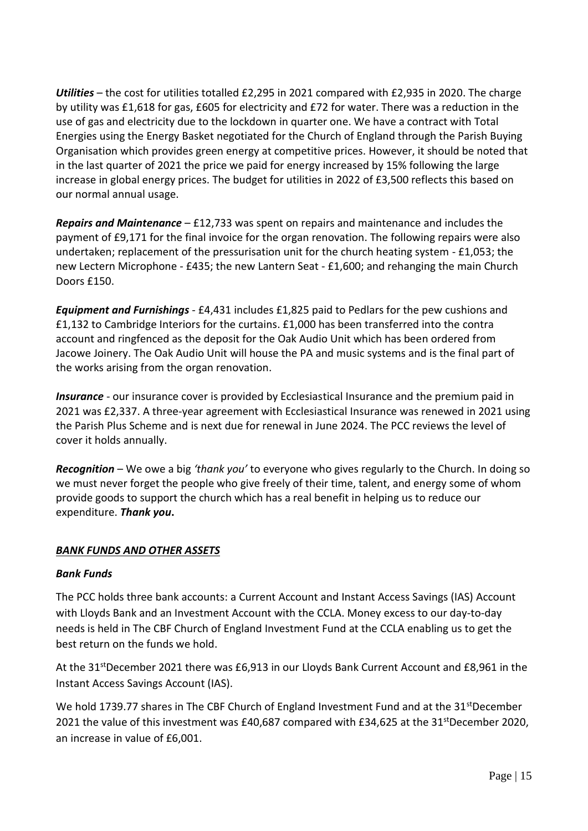*Utilities* – the cost for utilities totalled £2,295 in 2021 compared with £2,935 in 2020. The charge by utility was £1,618 for gas, £605 for electricity and £72 for water. There was a reduction in the use of gas and electricity due to the lockdown in quarter one. We have a contract with Total Energies using the Energy Basket negotiated for the Church of England through the Parish Buying Organisation which provides green energy at competitive prices. However, it should be noted that in the last quarter of 2021 the price we paid for energy increased by 15% following the large increase in global energy prices. The budget for utilities in 2022 of £3,500 reflects this based on our normal annual usage.

*Repairs and Maintenance* – £12,733 was spent on repairs and maintenance and includes the payment of £9,171 for the final invoice for the organ renovation. The following repairs were also undertaken; replacement of the pressurisation unit for the church heating system - £1,053; the new Lectern Microphone - £435; the new Lantern Seat - £1,600; and rehanging the main Church Doors £150.

*Equipment and Furnishings* - £4,431 includes £1,825 paid to Pedlars for the pew cushions and £1,132 to Cambridge Interiors for the curtains. £1,000 has been transferred into the contra account and ringfenced as the deposit for the Oak Audio Unit which has been ordered from Jacowe Joinery. The Oak Audio Unit will house the PA and music systems and is the final part of the works arising from the organ renovation.

**Insurance** - our insurance cover is provided by Ecclesiastical Insurance and the premium paid in 2021 was £2,337. A three-year agreement with Ecclesiastical Insurance was renewed in 2021 using the Parish Plus Scheme and is next due for renewal in June 2024. The PCC reviews the level of cover it holds annually.

*Recognition* – We owe a big *'thank you'* to everyone who gives regularly to the Church. In doing so we must never forget the people who give freely of their time, talent, and energy some of whom provide goods to support the church which has a real benefit in helping us to reduce our expenditure. *Thank you***.**

#### *BANK FUNDS AND OTHER ASSETS*

#### *Bank Funds*

The PCC holds three bank accounts: a Current Account and Instant Access Savings (IAS) Account with Lloyds Bank and an Investment Account with the CCLA. Money excess to our day-to-day needs is held in The CBF Church of England Investment Fund at the CCLA enabling us to get the best return on the funds we hold.

At the 31<sup>st</sup>December 2021 there was £6,913 in our Lloyds Bank Current Account and £8,961 in the Instant Access Savings Account (IAS).

We hold 1739.77 shares in The CBF Church of England Investment Fund and at the 31<sup>st</sup>December 2021 the value of this investment was £40,687 compared with £34,625 at the 31<sup>st</sup>December 2020, an increase in value of £6,001.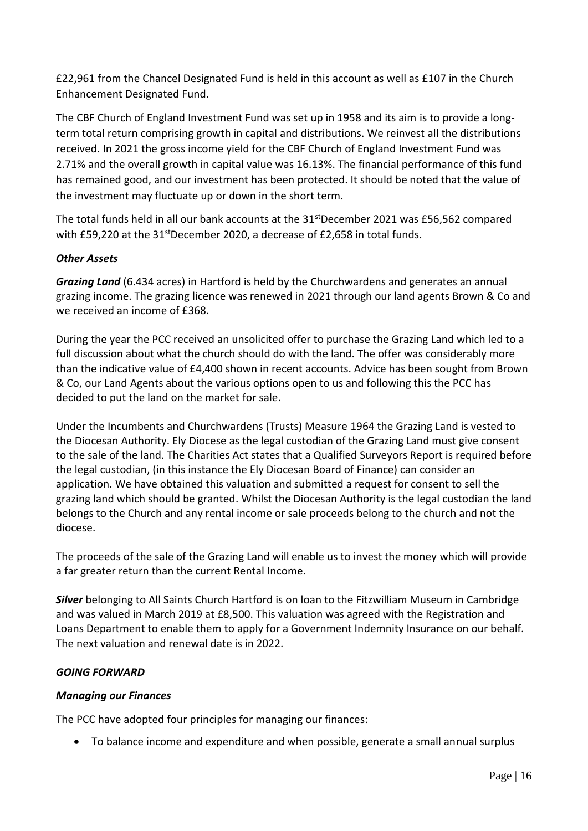£22,961 from the Chancel Designated Fund is held in this account as well as £107 in the Church Enhancement Designated Fund.

The CBF Church of England Investment Fund was set up in 1958 and its aim is to provide a longterm total return comprising growth in capital and distributions. We reinvest all the distributions received. In 2021 the gross income yield for the CBF Church of England Investment Fund was 2.71% and the overall growth in capital value was 16.13%. The financial performance of this fund has remained good, and our investment has been protected. It should be noted that the value of the investment may fluctuate up or down in the short term.

The total funds held in all our bank accounts at the  $31<sup>st</sup>$ December 2021 was £56,562 compared with £59,220 at the 31<sup>st</sup>December 2020, a decrease of £2,658 in total funds.

#### *Other Assets*

*Grazing Land* (6.434 acres) in Hartford is held by the Churchwardens and generates an annual grazing income. The grazing licence was renewed in 2021 through our land agents Brown & Co and we received an income of £368.

During the year the PCC received an unsolicited offer to purchase the Grazing Land which led to a full discussion about what the church should do with the land. The offer was considerably more than the indicative value of £4,400 shown in recent accounts. Advice has been sought from Brown & Co, our Land Agents about the various options open to us and following this the PCC has decided to put the land on the market for sale.

Under the Incumbents and Churchwardens (Trusts) Measure 1964 the Grazing Land is vested to the Diocesan Authority. Ely Diocese as the legal custodian of the Grazing Land must give consent to the sale of the land. The Charities Act states that a Qualified Surveyors Report is required before the legal custodian, (in this instance the Ely Diocesan Board of Finance) can consider an application. We have obtained this valuation and submitted a request for consent to sell the grazing land which should be granted. Whilst the Diocesan Authority is the legal custodian the land belongs to the Church and any rental income or sale proceeds belong to the church and not the diocese.

The proceeds of the sale of the Grazing Land will enable us to invest the money which will provide a far greater return than the current Rental Income.

*Silver* belonging to All Saints Church Hartford is on loan to the Fitzwilliam Museum in Cambridge and was valued in March 2019 at £8,500. This valuation was agreed with the Registration and Loans Department to enable them to apply for a Government Indemnity Insurance on our behalf. The next valuation and renewal date is in 2022.

#### *GOING FORWARD*

#### *Managing our Finances*

The PCC have adopted four principles for managing our finances:

• To balance income and expenditure and when possible, generate a small annual surplus